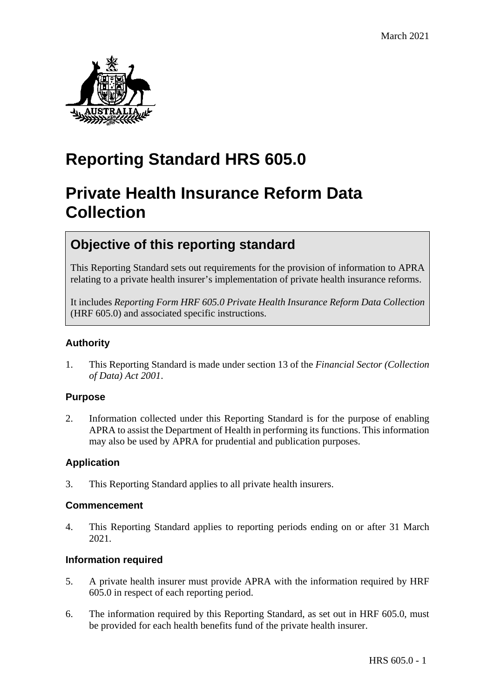

# **Reporting Standard HRS 605.0**

# **Private Health Insurance Reform Data Collection**

## **Objective of this reporting standard**

This Reporting Standard sets out requirements for the provision of information to APRA relating to a private health insurer's implementation of private health insurance reforms.

It includes *Reporting Form HRF 605.0 Private Health Insurance Reform Data Collection* (HRF 605.0) and associated specific instructions.

## **Authority**

1. This Reporting Standard is made under section 13 of the *Financial Sector (Collection of Data) Act 2001*.

### **Purpose**

2. Information collected under this Reporting Standard is for the purpose of enabling APRA to assist the Department of Health in performing its functions. This information may also be used by APRA for prudential and publication purposes.

## **Application**

3. This Reporting Standard applies to all private health insurers.

### **Commencement**

4. This Reporting Standard applies to reporting periods ending on or after 31 March 2021.

### **Information required**

- 5. A private health insurer must provide APRA with the information required by HRF 605.0 in respect of each reporting period.
- 6. The information required by this Reporting Standard, as set out in HRF 605.0, must be provided for each health benefits fund of the private health insurer.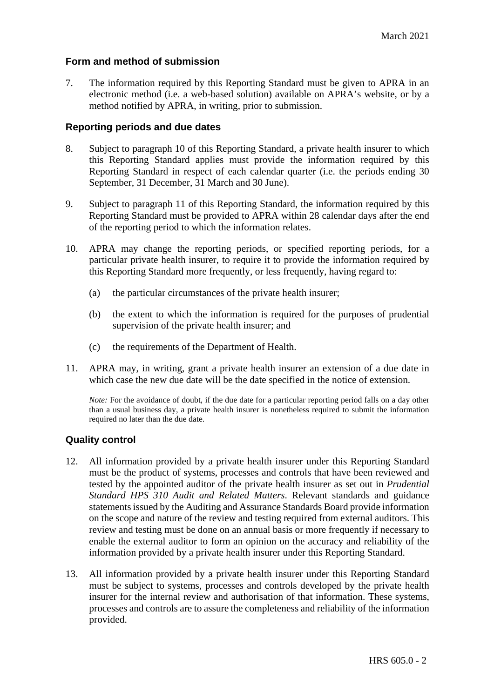### **Form and method of submission**

7. The information required by this Reporting Standard must be given to APRA in an electronic method (i.e. a web-based solution) available on APRA's website, or by a method notified by APRA, in writing, prior to submission.

### **Reporting periods and due dates**

- 8. Subject to paragraph 10 of this Reporting Standard, a private health insurer to which this Reporting Standard applies must provide the information required by this Reporting Standard in respect of each calendar quarter (i.e. the periods ending 30 September, 31 December, 31 March and 30 June).
- 9. Subject to paragraph 11 of this Reporting Standard, the information required by this Reporting Standard must be provided to APRA within 28 calendar days after the end of the reporting period to which the information relates.
- 10. APRA may change the reporting periods, or specified reporting periods, for a particular private health insurer, to require it to provide the information required by this Reporting Standard more frequently, or less frequently, having regard to:
	- (a) the particular circumstances of the private health insurer;
	- (b) the extent to which the information is required for the purposes of prudential supervision of the private health insurer; and
	- (c) the requirements of the Department of Health.
- 11. APRA may, in writing, grant a private health insurer an extension of a due date in which case the new due date will be the date specified in the notice of extension.

*Note:* For the avoidance of doubt, if the due date for a particular reporting period falls on a day other than a usual business day, a private health insurer is nonetheless required to submit the information required no later than the due date.

## **Quality control**

- 12. All information provided by a private health insurer under this Reporting Standard must be the product of systems, processes and controls that have been reviewed and tested by the appointed auditor of the private health insurer as set out in *Prudential Standard HPS 310 Audit and Related Matters*. Relevant standards and guidance statements issued by the Auditing and Assurance Standards Board provide information on the scope and nature of the review and testing required from external auditors. This review and testing must be done on an annual basis or more frequently if necessary to enable the external auditor to form an opinion on the accuracy and reliability of the information provided by a private health insurer under this Reporting Standard.
- 13. All information provided by a private health insurer under this Reporting Standard must be subject to systems, processes and controls developed by the private health insurer for the internal review and authorisation of that information. These systems, processes and controls are to assure the completeness and reliability of the information provided.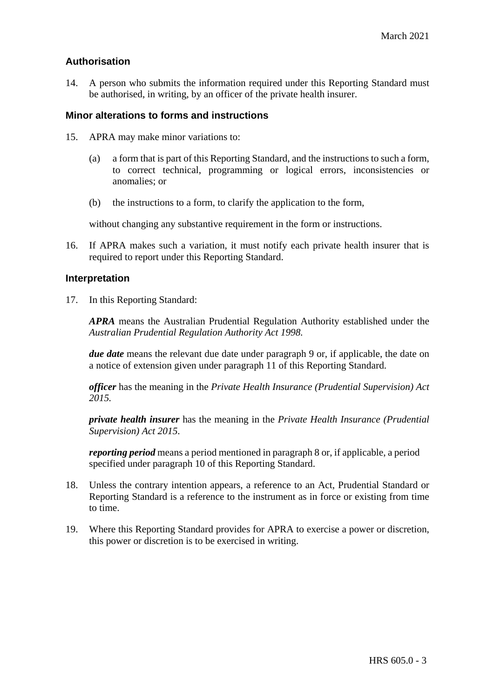### **Authorisation**

14. A person who submits the information required under this Reporting Standard must be authorised, in writing, by an officer of the private health insurer.

#### **Minor alterations to forms and instructions**

- 15. APRA may make minor variations to:
	- (a) a form that is part of this Reporting Standard, and the instructions to such a form, to correct technical, programming or logical errors, inconsistencies or anomalies; or
	- (b) the instructions to a form, to clarify the application to the form,

without changing any substantive requirement in the form or instructions.

16. If APRA makes such a variation, it must notify each private health insurer that is required to report under this Reporting Standard.

#### **Interpretation**

17. In this Reporting Standard:

*APRA* means the Australian Prudential Regulation Authority established under the *Australian Prudential Regulation Authority Act 1998.*

*due date* means the relevant due date under paragraph 9 or, if applicable, the date on a notice of extension given under paragraph 11 of this Reporting Standard.

*officer* has the meaning in the *Private Health Insurance (Prudential Supervision) Act 2015.*

*private health insurer* has the meaning in the *Private Health Insurance (Prudential Supervision) Act 2015*.

*reporting period* means a period mentioned in paragraph 8 or, if applicable, a period specified under paragraph 10 of this Reporting Standard.

- 18. Unless the contrary intention appears, a reference to an Act, Prudential Standard or Reporting Standard is a reference to the instrument as in force or existing from time to time.
- 19. Where this Reporting Standard provides for APRA to exercise a power or discretion, this power or discretion is to be exercised in writing.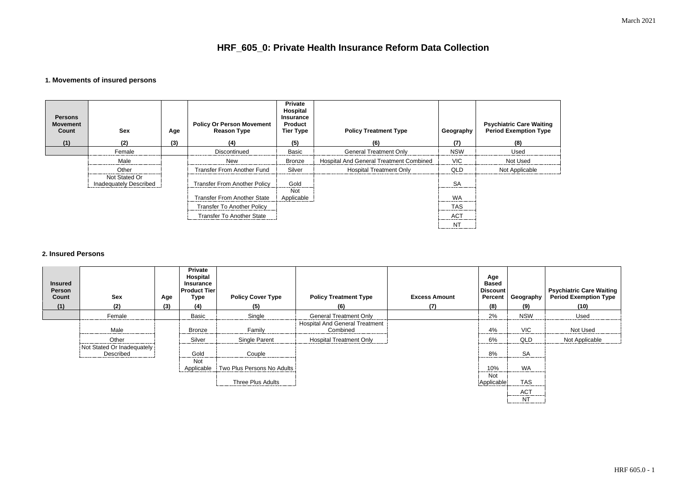March 2021

| e Waiting<br>ion Type |  |
|-----------------------|--|
|                       |  |
| ٠d                    |  |
| ᅬᆈ                    |  |

# **HRF\_605\_0: Private Health Insurance Reform Data Collection**

## **1. Movements of insured persons**

| <b>Persons</b><br><b>Movement</b><br>Count<br>(1) | <b>Sex</b><br>(2)                       | Age<br>(3) | <b>Policy Or Person Movement</b><br><b>Reason Type</b><br>(4) | <b>Private</b><br>Hospital<br><b>Insurance</b><br>Product<br><b>Tier Type</b><br>(5) | <b>Policy Treatment Type</b><br>(6)     | Geography<br>(7)          | <b>Psychiatric Care Waiting</b><br><b>Period Exemption Type</b><br>(8) |
|---------------------------------------------------|-----------------------------------------|------------|---------------------------------------------------------------|--------------------------------------------------------------------------------------|-----------------------------------------|---------------------------|------------------------------------------------------------------------|
|                                                   | Female                                  |            | Discontinued                                                  | <b>Basic</b>                                                                         | <b>General Treatment Only</b>           | <b>NSW</b>                | Used                                                                   |
|                                                   | Male                                    |            | <b>New</b>                                                    | <b>Bronze</b>                                                                        | Hospital And General Treatment Combined | <b>VIC</b>                | Not Used                                                               |
|                                                   | Other                                   |            | <b>Transfer From Another Fund</b>                             | Silver                                                                               | <b>Hospital Treatment Only</b>          | <b>QLD</b>                | Not Applicable                                                         |
|                                                   | Not Stated Or<br>Inadequately Described |            | <b>Transfer From Another Policy</b>                           | Gold<br><b>Not</b>                                                                   |                                         | <b>SA</b>                 |                                                                        |
|                                                   |                                         |            | <b>Transfer From Another State</b>                            | Applicable                                                                           |                                         | <b>WA</b>                 |                                                                        |
|                                                   |                                         |            | <b>Transfer To Another Policy</b>                             |                                                                                      |                                         | <b>TAS</b>                |                                                                        |
|                                                   |                                         |            | <b>Transfer To Another State</b>                              |                                                                                      |                                         | <b>ACT</b><br>----------- |                                                                        |
|                                                   |                                         |            |                                                               |                                                                                      |                                         | <b>NT</b>                 |                                                                        |

### **2. Insured Persons**

| <b>Insured</b><br><b>Person</b><br>Count<br>(1) | <b>Sex</b><br>(2)                       | Age<br>(3) | <b>Private</b><br><b>Hospital</b><br><b>Insurance</b><br><b>Product Tier</b><br>Type<br>(4) | <b>Policy Cover Type</b><br>(5) | <b>Policy Treatment Type</b><br>(6)               | <b>Excess Amount</b><br>(7) | Age<br><b>Based</b><br><b>Discount</b><br><b>Percent</b><br>(8) | Geography  <br>(9) | <b>Psychiatric Care Waiting<br/>Period Exemption Type</b><br>(10) |
|-------------------------------------------------|-----------------------------------------|------------|---------------------------------------------------------------------------------------------|---------------------------------|---------------------------------------------------|-----------------------------|-----------------------------------------------------------------|--------------------|-------------------------------------------------------------------|
|                                                 | Female                                  |            | Basic                                                                                       | Single                          | <b>General Treatment Only</b>                     |                             | 2%                                                              | <b>NSW</b>         | Used                                                              |
|                                                 | Male                                    |            | <b>Bronze</b>                                                                               | Family                          | <b>Hospital And General Treatment</b><br>Combined |                             | 4%                                                              | <b>VIC</b>         | Not Used                                                          |
|                                                 | Other                                   |            | Silver                                                                                      | Single Parent                   | <b>Hospital Treatment Only</b>                    |                             | 6%                                                              | QLD                | Not Applicable                                                    |
|                                                 | Not Stated Or Inadequately<br>Described |            | Gold                                                                                        | Couple                          |                                                   |                             | 8%                                                              | <b>SA</b>          |                                                                   |
|                                                 |                                         |            | <b>Not</b><br>Applicable                                                                    | Two Plus Persons No Adults      |                                                   |                             | 10%                                                             | <b>WA</b>          |                                                                   |
|                                                 |                                         |            |                                                                                             | <b>Three Plus Adults</b>        |                                                   |                             | <b>Not</b><br>Applicable                                        | <b>TAS</b>         |                                                                   |
|                                                 |                                         |            |                                                                                             |                                 |                                                   |                             |                                                                 | <b>ACT</b><br>.    |                                                                   |
|                                                 |                                         |            |                                                                                             |                                 |                                                   |                             |                                                                 | <b>NT</b>          |                                                                   |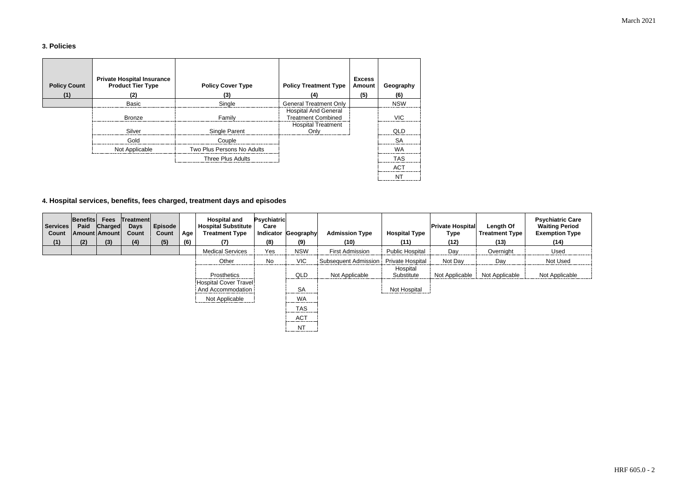March 2021

## **3. Policies**

| <b>Policy Count</b><br>(1) | <b>Private Hospital Insurance</b><br><b>Product Tier Type</b><br>(2) | <b>Policy Cover Type</b><br>(3) | <b>Policy Treatment Type</b><br>(4)                      | <b>Excess</b><br>Amount<br>(5) | Geography<br>(6) |
|----------------------------|----------------------------------------------------------------------|---------------------------------|----------------------------------------------------------|--------------------------------|------------------|
|                            | <b>Basic</b>                                                         | Single                          | <b>General Treatment Only</b>                            |                                | <b>NSW</b>       |
|                            | <b>Bronze</b>                                                        | Family                          | <b>Hospital And General</b><br><b>Treatment Combined</b> |                                | <b>VIC</b>       |
|                            | Silver                                                               | Single Parent                   | <b>Hospital Treatment</b><br>Only                        |                                | QLD              |
|                            | Gold                                                                 | Couple                          |                                                          |                                | <b>SA</b>        |
|                            | Not Applicable                                                       | Two Plus Persons No Adults      |                                                          |                                | <b>WA</b>        |
|                            |                                                                      | Three Plus Adults               |                                                          |                                | <b>TAS</b>       |
|                            |                                                                      |                                 |                                                          |                                | <b>ACT</b>       |
|                            |                                                                      |                                 |                                                          |                                | NT               |

## **4. Hospital services, benefits, fees charged, treatment days and episodes**

| <b>Services</b><br>Count<br>(1) | <b>Benefits</b><br>Paid<br>(2) | <b>Fees</b><br><b>Charged</b><br>Amount Amount<br>(3) | Treatment<br><b>Days</b><br><b>Count</b> | <b>Episode</b><br>Count | Age<br>(6) | <b>Hospital and</b><br><b>Hospital Substitute</b><br><b>Treatment Type</b> | <b>Psychiatric</b><br>Care<br>(8) | Indicator Geography<br>(9)       | <b>Admission Type</b><br>(10) | <b>Hospital Type</b><br>(11) | <b>Private Hospital</b><br><b>Type</b><br>(12) | Length Of<br><b>Treatment Type</b><br>(13) | <b>Psychiatric Care</b><br><b>Waiting Period</b><br><b>Exemption Type</b><br>(14) |
|---------------------------------|--------------------------------|-------------------------------------------------------|------------------------------------------|-------------------------|------------|----------------------------------------------------------------------------|-----------------------------------|----------------------------------|-------------------------------|------------------------------|------------------------------------------------|--------------------------------------------|-----------------------------------------------------------------------------------|
|                                 |                                |                                                       | (4)                                      | (5)                     |            | (7)                                                                        |                                   |                                  |                               |                              |                                                |                                            |                                                                                   |
|                                 |                                |                                                       |                                          |                         |            | <b>Medical Services</b>                                                    | Yes                               | <b>NSW</b>                       | <b>First Admission</b>        | <b>Public Hospital</b>       | Day                                            | Overnight                                  | Used                                                                              |
|                                 |                                |                                                       |                                          |                         |            | Other                                                                      | No                                | <b>VIC</b>                       | <b>Subsequent Admission</b>   | <b>Private Hospital</b>      | Not Day                                        | Day                                        | Not Used                                                                          |
|                                 |                                |                                                       |                                          |                         |            |                                                                            |                                   |                                  |                               | Hospital                     |                                                |                                            |                                                                                   |
|                                 |                                |                                                       |                                          |                         |            | Prosthetics                                                                |                                   | QLD                              | Not Applicable                | Substitute                   | Not Applicable                                 | Not Applicable                             | Not Applicable                                                                    |
|                                 |                                |                                                       |                                          |                         |            | Hospital Cover Travel<br>And Accommodation                                 |                                   | <b>SA</b>                        |                               | Not Hospital                 |                                                |                                            |                                                                                   |
|                                 |                                |                                                       |                                          |                         |            | Not Applicable                                                             |                                   | <b>WA</b>                        |                               |                              |                                                |                                            |                                                                                   |
|                                 |                                |                                                       |                                          |                         |            |                                                                            |                                   | <b>TAS</b><br>-----------        |                               |                              |                                                |                                            |                                                                                   |
|                                 |                                |                                                       |                                          |                         |            |                                                                            |                                   | <b>ACT</b><br>------------------ |                               |                              |                                                |                                            |                                                                                   |
|                                 |                                |                                                       |                                          |                         |            |                                                                            |                                   | <b>NT</b>                        |                               |                              |                                                |                                            |                                                                                   |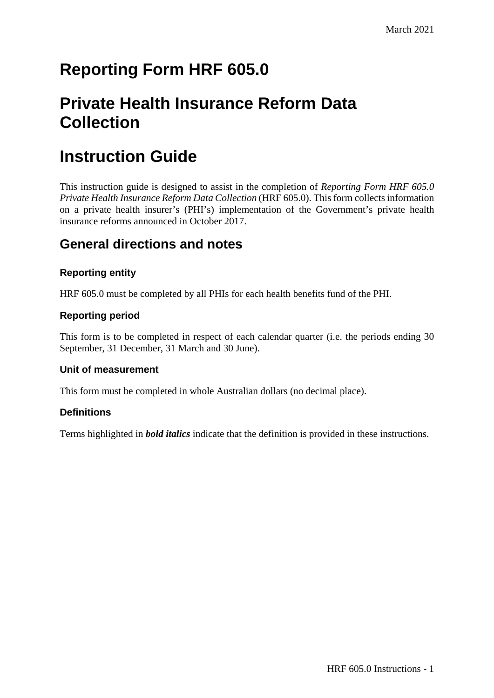# **Reporting Form HRF 605.0**

# **Private Health Insurance Reform Data Collection**

## **Instruction Guide**

This instruction guide is designed to assist in the completion of *Reporting Form HRF 605.0 Private Health Insurance Reform Data Collection* (HRF 605.0). This form collects information on a private health insurer's (PHI's) implementation of the Government's private health insurance reforms announced in October 2017.

## **General directions and notes**

## **Reporting entity**

HRF 605.0 must be completed by all PHIs for each health benefits fund of the PHI.

## **Reporting period**

This form is to be completed in respect of each calendar quarter (i.e. the periods ending 30 September, 31 December, 31 March and 30 June).

### **Unit of measurement**

This form must be completed in whole Australian dollars (no decimal place).

## **Definitions**

Terms highlighted in *bold italics* indicate that the definition is provided in these instructions.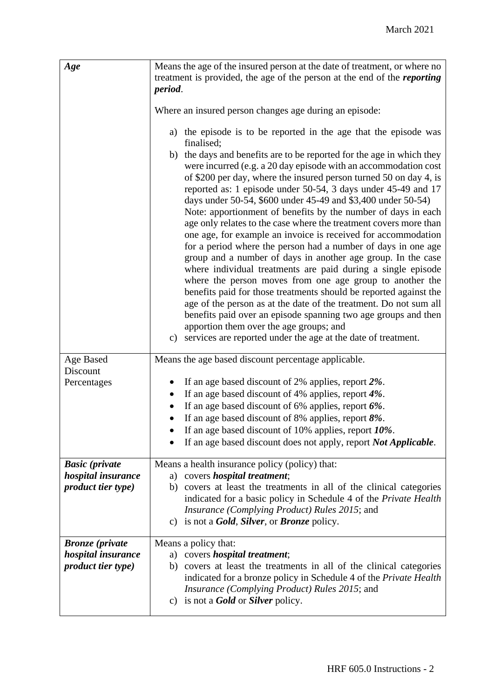| Age                                                                               | Means the age of the insured person at the date of treatment, or where no<br>treatment is provided, the age of the person at the end of the <i>reporting</i><br>period.                                                                                                                                                                                                                                                                                                                                                                                                                                                                                                                                                                                                                                                                                                                                                                                                                                                                                                                                                                                                                                                         |
|-----------------------------------------------------------------------------------|---------------------------------------------------------------------------------------------------------------------------------------------------------------------------------------------------------------------------------------------------------------------------------------------------------------------------------------------------------------------------------------------------------------------------------------------------------------------------------------------------------------------------------------------------------------------------------------------------------------------------------------------------------------------------------------------------------------------------------------------------------------------------------------------------------------------------------------------------------------------------------------------------------------------------------------------------------------------------------------------------------------------------------------------------------------------------------------------------------------------------------------------------------------------------------------------------------------------------------|
|                                                                                   | Where an insured person changes age during an episode:                                                                                                                                                                                                                                                                                                                                                                                                                                                                                                                                                                                                                                                                                                                                                                                                                                                                                                                                                                                                                                                                                                                                                                          |
|                                                                                   | a) the episode is to be reported in the age that the episode was<br>finalised;<br>b) the days and benefits are to be reported for the age in which they<br>were incurred (e.g. a 20 day episode with an accommodation cost<br>of \$200 per day, where the insured person turned 50 on day 4, is<br>reported as: 1 episode under 50-54, 3 days under 45-49 and 17<br>days under 50-54, \$600 under 45-49 and \$3,400 under 50-54)<br>Note: apportionment of benefits by the number of days in each<br>age only relates to the case where the treatment covers more than<br>one age, for example an invoice is received for accommodation<br>for a period where the person had a number of days in one age<br>group and a number of days in another age group. In the case<br>where individual treatments are paid during a single episode<br>where the person moves from one age group to another the<br>benefits paid for those treatments should be reported against the<br>age of the person as at the date of the treatment. Do not sum all<br>benefits paid over an episode spanning two age groups and then<br>apportion them over the age groups; and<br>c) services are reported under the age at the date of treatment. |
| Age Based                                                                         | Means the age based discount percentage applicable.                                                                                                                                                                                                                                                                                                                                                                                                                                                                                                                                                                                                                                                                                                                                                                                                                                                                                                                                                                                                                                                                                                                                                                             |
| Discount<br>Percentages                                                           | If an age based discount of 2% applies, report 2%.<br>If an age based discount of 4% applies, report 4%.                                                                                                                                                                                                                                                                                                                                                                                                                                                                                                                                                                                                                                                                                                                                                                                                                                                                                                                                                                                                                                                                                                                        |
|                                                                                   | If an age based discount of 6% applies, report $6\%$ .                                                                                                                                                                                                                                                                                                                                                                                                                                                                                                                                                                                                                                                                                                                                                                                                                                                                                                                                                                                                                                                                                                                                                                          |
|                                                                                   | If an age based discount of 8% applies, report 8%.                                                                                                                                                                                                                                                                                                                                                                                                                                                                                                                                                                                                                                                                                                                                                                                                                                                                                                                                                                                                                                                                                                                                                                              |
|                                                                                   | If an age based discount of 10% applies, report 10%.<br>If an age based discount does not apply, report Not Applicable.                                                                                                                                                                                                                                                                                                                                                                                                                                                                                                                                                                                                                                                                                                                                                                                                                                                                                                                                                                                                                                                                                                         |
| <b>Basic</b> (private<br>hospital insurance<br><i>product tier type)</i>          | Means a health insurance policy (policy) that:<br>a) covers <i>hospital treatment</i> ;<br>covers at least the treatments in all of the clinical categories<br>b)<br>indicated for a basic policy in Schedule 4 of the Private Health<br><i>Insurance (Complying Product) Rules 2015; and</i><br>is not a <i>Gold</i> , <i>Silver</i> , or <i>Bronze</i> policy.<br>C)                                                                                                                                                                                                                                                                                                                                                                                                                                                                                                                                                                                                                                                                                                                                                                                                                                                          |
| <b>Bronze</b> ( <i>private</i><br>hospital insurance<br><i>product tier type)</i> | Means a policy that:<br>a) covers <i>hospital treatment</i> ;<br>covers at least the treatments in all of the clinical categories<br>b)<br>indicated for a bronze policy in Schedule 4 of the Private Health<br><i>Insurance (Complying Product) Rules 2015; and</i><br>c) is not a <b>Gold</b> or <b>Silver</b> policy.                                                                                                                                                                                                                                                                                                                                                                                                                                                                                                                                                                                                                                                                                                                                                                                                                                                                                                        |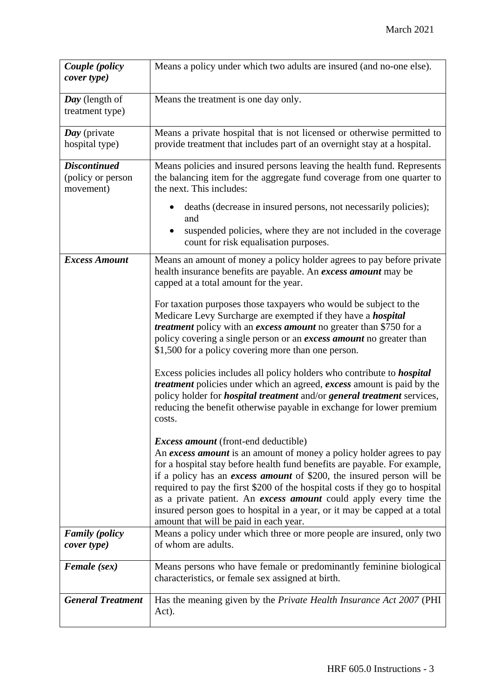| Couple (policy<br>cover type)                         | Means a policy under which two adults are insured (and no-one else).                                                                                                                                                                                                                                                                                                                                                                                                                                                                                         |
|-------------------------------------------------------|--------------------------------------------------------------------------------------------------------------------------------------------------------------------------------------------------------------------------------------------------------------------------------------------------------------------------------------------------------------------------------------------------------------------------------------------------------------------------------------------------------------------------------------------------------------|
| Day (length of<br>treatment type)                     | Means the treatment is one day only.                                                                                                                                                                                                                                                                                                                                                                                                                                                                                                                         |
| Day (private<br>hospital type)                        | Means a private hospital that is not licensed or otherwise permitted to<br>provide treatment that includes part of an overnight stay at a hospital.                                                                                                                                                                                                                                                                                                                                                                                                          |
| <b>Discontinued</b><br>(policy or person<br>movement) | Means policies and insured persons leaving the health fund. Represents<br>the balancing item for the aggregate fund coverage from one quarter to<br>the next. This includes:                                                                                                                                                                                                                                                                                                                                                                                 |
|                                                       | deaths (decrease in insured persons, not necessarily policies);<br>and<br>suspended policies, where they are not included in the coverage<br>count for risk equalisation purposes.                                                                                                                                                                                                                                                                                                                                                                           |
| <b>Excess Amount</b>                                  | Means an amount of money a policy holder agrees to pay before private<br>health insurance benefits are payable. An excess amount may be<br>capped at a total amount for the year.                                                                                                                                                                                                                                                                                                                                                                            |
|                                                       | For taxation purposes those taxpayers who would be subject to the<br>Medicare Levy Surcharge are exempted if they have a <i>hospital</i><br><i>treatment</i> policy with an <i>excess amount</i> no greater than \$750 for a<br>policy covering a single person or an excess amount no greater than<br>\$1,500 for a policy covering more than one person.                                                                                                                                                                                                   |
|                                                       | Excess policies includes all policy holders who contribute to <i>hospital</i><br><i>treatment</i> policies under which an agreed, <i>excess</i> amount is paid by the<br>policy holder for <i>hospital treatment</i> and/or <i>general treatment</i> services,<br>reducing the benefit otherwise payable in exchange for lower premium<br>costs.                                                                                                                                                                                                             |
|                                                       | <i>Excess amount</i> (front-end deductible)<br>An excess amount is an amount of money a policy holder agrees to pay<br>for a hospital stay before health fund benefits are payable. For example,<br>if a policy has an <i>excess amount</i> of \$200, the insured person will be<br>required to pay the first \$200 of the hospital costs if they go to hospital<br>as a private patient. An excess amount could apply every time the<br>insured person goes to hospital in a year, or it may be capped at a total<br>amount that will be paid in each year. |
| <b>Family</b> (policy<br>cover type)                  | Means a policy under which three or more people are insured, only two<br>of whom are adults.                                                                                                                                                                                                                                                                                                                                                                                                                                                                 |
| Female (sex)                                          | Means persons who have female or predominantly feminine biological<br>characteristics, or female sex assigned at birth.                                                                                                                                                                                                                                                                                                                                                                                                                                      |
| <b>General Treatment</b>                              | Has the meaning given by the Private Health Insurance Act 2007 (PHI<br>Act).                                                                                                                                                                                                                                                                                                                                                                                                                                                                                 |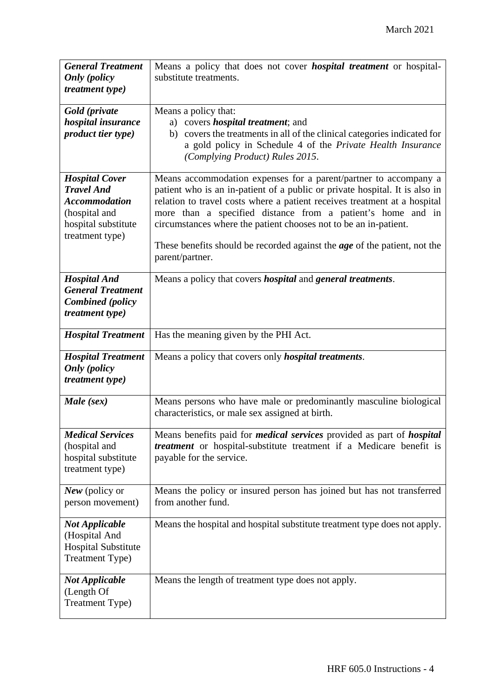| <b>General Treatment</b><br><b>Only</b> (policy<br><i>treatment type)</i>                                                     | Means a policy that does not cover <i>hospital treatment</i> or hospital-<br>substitute treatments.                                                                                                                                                                                                                                                                                                                                                                    |
|-------------------------------------------------------------------------------------------------------------------------------|------------------------------------------------------------------------------------------------------------------------------------------------------------------------------------------------------------------------------------------------------------------------------------------------------------------------------------------------------------------------------------------------------------------------------------------------------------------------|
| Gold (private<br>hospital insurance<br>product tier type)                                                                     | Means a policy that:<br>a) covers <i>hospital treatment</i> ; and<br>b) covers the treatments in all of the clinical categories indicated for<br>a gold policy in Schedule 4 of the Private Health Insurance<br>(Complying Product) Rules 2015.                                                                                                                                                                                                                        |
| <b>Hospital Cover</b><br><b>Travel And</b><br><b>Accommodation</b><br>(hospital and<br>hospital substitute<br>treatment type) | Means accommodation expenses for a parent/partner to accompany a<br>patient who is an in-patient of a public or private hospital. It is also in<br>relation to travel costs where a patient receives treatment at a hospital<br>more than a specified distance from a patient's home and in<br>circumstances where the patient chooses not to be an in-patient.<br>These benefits should be recorded against the <i>age</i> of the patient, not the<br>parent/partner. |
| <b>Hospital And</b><br><b>General Treatment</b><br><b>Combined</b> (policy<br><i>treatment type)</i>                          | Means a policy that covers <i>hospital</i> and <i>general treatments</i> .                                                                                                                                                                                                                                                                                                                                                                                             |
| <b>Hospital Treatment</b>                                                                                                     | Has the meaning given by the PHI Act.                                                                                                                                                                                                                                                                                                                                                                                                                                  |
| <b>Hospital Treatment</b><br><b>Only</b> (policy<br><i>treatment type)</i>                                                    | Means a policy that covers only <i>hospital treatments</i> .                                                                                                                                                                                                                                                                                                                                                                                                           |
| Male (sex)                                                                                                                    | Means persons who have male or predominantly masculine biological<br>characteristics, or male sex assigned at birth.                                                                                                                                                                                                                                                                                                                                                   |
| <b>Medical Services</b><br>(hospital and<br>hospital substitute<br>treatment type)                                            | Means benefits paid for <i>medical services</i> provided as part of <i>hospital</i><br><i>treatment</i> or hospital-substitute treatment if a Medicare benefit is<br>payable for the service.                                                                                                                                                                                                                                                                          |
| New (policy or<br>person movement)                                                                                            | Means the policy or insured person has joined but has not transferred<br>from another fund.                                                                                                                                                                                                                                                                                                                                                                            |
| <b>Not Applicable</b><br>(Hospital And<br><b>Hospital Substitute</b><br>Treatment Type)                                       | Means the hospital and hospital substitute treatment type does not apply.                                                                                                                                                                                                                                                                                                                                                                                              |
| <b>Not Applicable</b><br>(Length Of<br>Treatment Type)                                                                        | Means the length of treatment type does not apply.                                                                                                                                                                                                                                                                                                                                                                                                                     |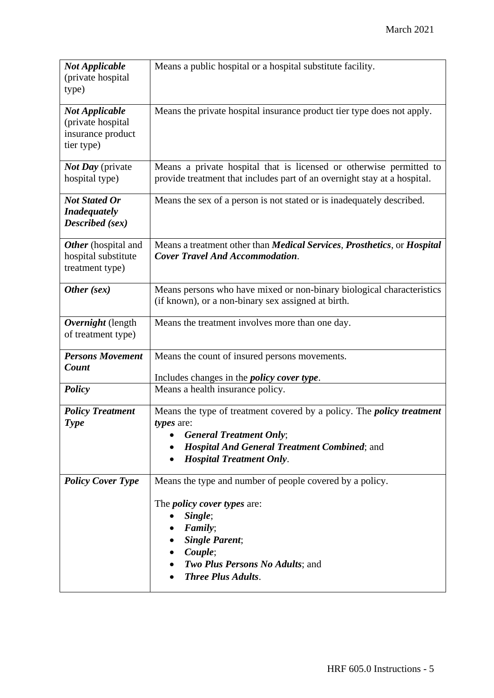| <b>Not Applicable</b><br>(private hospital)<br>type)                          | Means a public hospital or a hospital substitute facility.                                                                                                                                                                      |
|-------------------------------------------------------------------------------|---------------------------------------------------------------------------------------------------------------------------------------------------------------------------------------------------------------------------------|
| <b>Not Applicable</b><br>(private hospital<br>insurance product<br>tier type) | Means the private hospital insurance product tier type does not apply.                                                                                                                                                          |
| <b>Not Day</b> (private<br>hospital type)                                     | Means a private hospital that is licensed or otherwise permitted to<br>provide treatment that includes part of an overnight stay at a hospital.                                                                                 |
| <b>Not Stated Or</b><br><b>Inadequately</b><br>Described (sex)                | Means the sex of a person is not stated or is inadequately described.                                                                                                                                                           |
| Other (hospital and<br>hospital substitute<br>treatment type)                 | Means a treatment other than <i>Medical Services</i> , <i>Prosthetics</i> , or <i>Hospital</i><br><b>Cover Travel And Accommodation.</b>                                                                                        |
| Other (sex)                                                                   | Means persons who have mixed or non-binary biological characteristics<br>(if known), or a non-binary sex assigned at birth.                                                                                                     |
| Overnight (length<br>of treatment type)                                       | Means the treatment involves more than one day.                                                                                                                                                                                 |
| <b>Persons Movement</b><br>Count                                              | Means the count of insured persons movements.<br>Includes changes in the <i>policy cover type</i> .                                                                                                                             |
| <b>Policy</b>                                                                 | Means a health insurance policy.                                                                                                                                                                                                |
| <b>Policy Treatment</b><br><b>Type</b>                                        | Means the type of treatment covered by a policy. The <i>policy treatment</i><br>types are:<br><b>General Treatment Only;</b><br><b>Hospital And General Treatment Combined; and</b><br><b>Hospital Treatment Only.</b>          |
| <b>Policy Cover Type</b>                                                      | Means the type and number of people covered by a policy.<br>The <i>policy cover types</i> are:<br>Single;<br>Family;<br><b>Single Parent;</b><br>Couple;<br><b>Two Plus Persons No Adults; and</b><br><b>Three Plus Adults.</b> |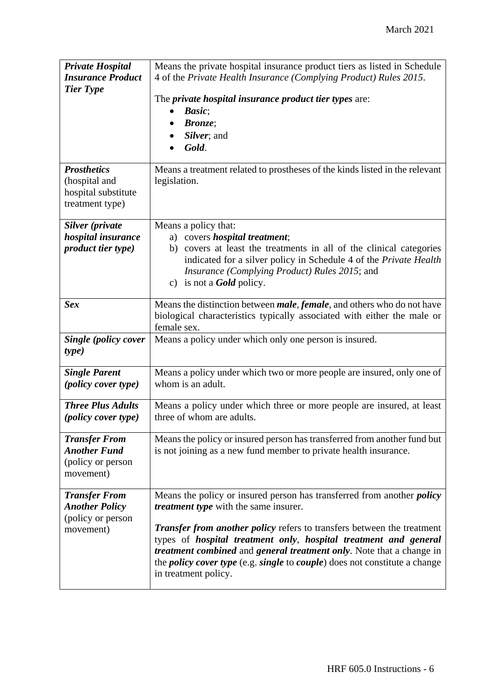| <b>Private Hospital</b><br><b>Insurance Product</b><br><b>Tier Type</b>         | Means the private hospital insurance product tiers as listed in Schedule<br>4 of the Private Health Insurance (Complying Product) Rules 2015.<br>The private hospital insurance product tier types are:<br>Basic;<br>$\bullet$<br><b>Bronze</b> ;<br>Silver; and<br>Gold.                                                                                                                                                                                                                                     |
|---------------------------------------------------------------------------------|---------------------------------------------------------------------------------------------------------------------------------------------------------------------------------------------------------------------------------------------------------------------------------------------------------------------------------------------------------------------------------------------------------------------------------------------------------------------------------------------------------------|
| <b>Prosthetics</b><br>(hospital and<br>hospital substitute<br>treatment type)   | Means a treatment related to prostheses of the kinds listed in the relevant<br>legislation.                                                                                                                                                                                                                                                                                                                                                                                                                   |
| Silver (private<br>hospital insurance<br>product tier type)                     | Means a policy that:<br>a) covers <i>hospital treatment</i> ;<br>covers at least the treatments in all of the clinical categories<br>b)<br>indicated for a silver policy in Schedule 4 of the Private Health<br>Insurance (Complying Product) Rules 2015; and<br>c) is not a <b>Gold</b> policy.                                                                                                                                                                                                              |
| <b>Sex</b>                                                                      | Means the distinction between <i>male</i> , <i>female</i> , and others who do not have<br>biological characteristics typically associated with either the male or<br>female sex.                                                                                                                                                                                                                                                                                                                              |
| Single (policy cover<br>type)                                                   | Means a policy under which only one person is insured.                                                                                                                                                                                                                                                                                                                                                                                                                                                        |
| <b>Single Parent</b><br>(policy cover type)                                     | Means a policy under which two or more people are insured, only one of<br>whom is an adult.                                                                                                                                                                                                                                                                                                                                                                                                                   |
| <b>Three Plus Adults</b><br>(policy cover type)                                 | Means a policy under which three or more people are insured, at least<br>three of whom are adults.                                                                                                                                                                                                                                                                                                                                                                                                            |
| <b>Transfer From</b><br><b>Another Fund</b><br>(policy or person<br>movement)   | Means the policy or insured person has transferred from another fund but<br>is not joining as a new fund member to private health insurance.                                                                                                                                                                                                                                                                                                                                                                  |
| <b>Transfer From</b><br><b>Another Policy</b><br>(policy or person<br>movement) | Means the policy or insured person has transferred from another <i>policy</i><br>treatment type with the same insurer.<br><b>Transfer from another policy refers to transfers between the treatment</b><br>types of <i>hospital treatment only</i> , <i>hospital treatment and general</i><br><i>treatment combined</i> and <i>general treatment only</i> . Note that a change in<br>the <i>policy cover type</i> (e.g. <i>single</i> to <i>couple</i> ) does not constitute a change<br>in treatment policy. |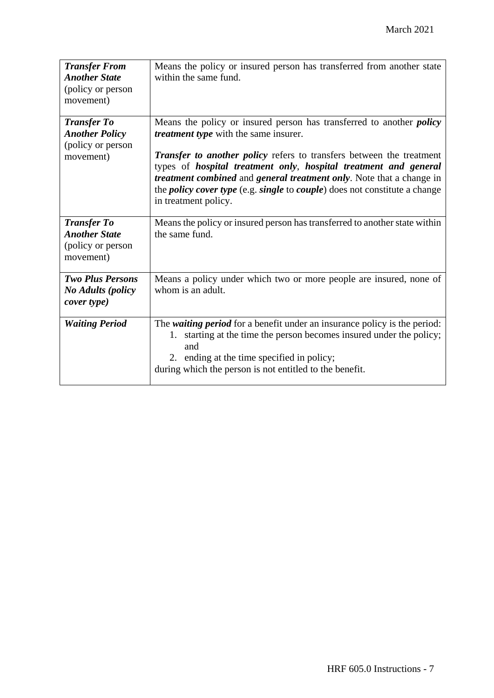| <b>Transfer From</b><br><b>Another State</b><br>(policy or person<br>movement) | Means the policy or insured person has transferred from another state<br>within the same fund.                                                                                                                                                                                                                                                                                                                                                                                     |
|--------------------------------------------------------------------------------|------------------------------------------------------------------------------------------------------------------------------------------------------------------------------------------------------------------------------------------------------------------------------------------------------------------------------------------------------------------------------------------------------------------------------------------------------------------------------------|
| <b>Transfer To</b><br><b>Another Policy</b><br>(policy or person<br>movement)  | Means the policy or insured person has transferred to another <i>policy</i><br><i>treatment type</i> with the same insurer.<br><b>Transfer to another policy refers to transfers between the treatment</b><br>types of hospital treatment only, hospital treatment and general<br>treatment combined and general treatment only. Note that a change in<br>the <i>policy cover type</i> (e.g. <i>single</i> to <i>couple</i> ) does not constitute a change<br>in treatment policy. |
| <b>Transfer To</b><br><b>Another State</b><br>(policy or person<br>movement)   | Means the policy or insured person has transferred to another state within<br>the same fund.                                                                                                                                                                                                                                                                                                                                                                                       |
| <b>Two Plus Persons</b><br><b>No Adults (policy</b><br>cover type)             | Means a policy under which two or more people are insured, none of<br>whom is an adult.                                                                                                                                                                                                                                                                                                                                                                                            |
| <b>Waiting Period</b>                                                          | The <i>waiting period</i> for a benefit under an insurance policy is the period:<br>1. starting at the time the person becomes insured under the policy;<br>and<br>2. ending at the time specified in policy;<br>during which the person is not entitled to the benefit.                                                                                                                                                                                                           |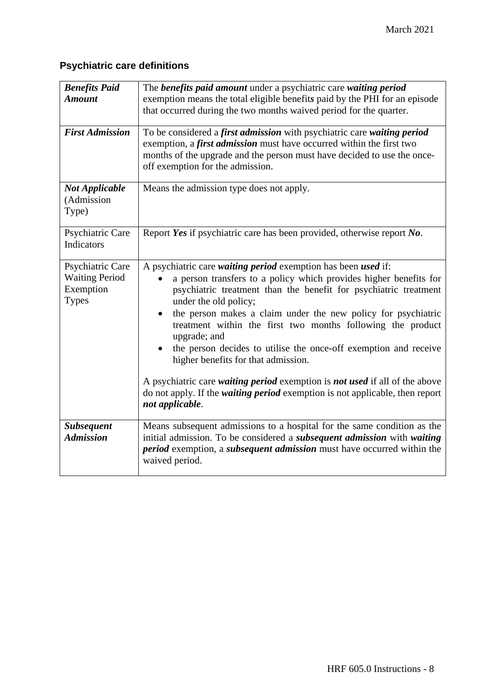## **Psychiatric care definitions**

| <b>Benefits Paid</b>   | The benefits paid amount under a psychiatric care waiting period                                                                                                                                                                                               |
|------------------------|----------------------------------------------------------------------------------------------------------------------------------------------------------------------------------------------------------------------------------------------------------------|
| <b>Amount</b>          | exemption means the total eligible benefits paid by the PHI for an episode                                                                                                                                                                                     |
|                        | that occurred during the two months waived period for the quarter.                                                                                                                                                                                             |
|                        |                                                                                                                                                                                                                                                                |
| <b>First Admission</b> | To be considered a first admission with psychiatric care waiting period<br>exemption, a first admission must have occurred within the first two<br>months of the upgrade and the person must have decided to use the once-<br>off exemption for the admission. |
| <b>Not Applicable</b>  | Means the admission type does not apply.                                                                                                                                                                                                                       |
| (Admission             |                                                                                                                                                                                                                                                                |
| Type)                  |                                                                                                                                                                                                                                                                |
|                        |                                                                                                                                                                                                                                                                |
| Psychiatric Care       | Report Yes if psychiatric care has been provided, otherwise report No.                                                                                                                                                                                         |
| Indicators             |                                                                                                                                                                                                                                                                |
|                        |                                                                                                                                                                                                                                                                |
| Psychiatric Care       | A psychiatric care waiting period exemption has been used if:                                                                                                                                                                                                  |
| <b>Waiting Period</b>  | a person transfers to a policy which provides higher benefits for                                                                                                                                                                                              |
| Exemption              | psychiatric treatment than the benefit for psychiatric treatment                                                                                                                                                                                               |
| <b>Types</b>           | under the old policy;                                                                                                                                                                                                                                          |
|                        | the person makes a claim under the new policy for psychiatric<br>$\bullet$                                                                                                                                                                                     |
|                        | treatment within the first two months following the product                                                                                                                                                                                                    |
|                        | upgrade; and                                                                                                                                                                                                                                                   |
|                        | the person decides to utilise the once-off exemption and receive                                                                                                                                                                                               |
|                        | higher benefits for that admission.                                                                                                                                                                                                                            |
|                        |                                                                                                                                                                                                                                                                |
|                        | A psychiatric care <i>waiting period</i> exemption is <i>not used</i> if all of the above                                                                                                                                                                      |
|                        | do not apply. If the <i>waiting period</i> exemption is not applicable, then report                                                                                                                                                                            |
|                        | not applicable.                                                                                                                                                                                                                                                |
|                        |                                                                                                                                                                                                                                                                |
| <b>Subsequent</b>      | Means subsequent admissions to a hospital for the same condition as the                                                                                                                                                                                        |
| <b>Admission</b>       | initial admission. To be considered a <i>subsequent admission</i> with waiting                                                                                                                                                                                 |
|                        | period exemption, a subsequent admission must have occurred within the                                                                                                                                                                                         |
|                        | waived period.                                                                                                                                                                                                                                                 |
|                        |                                                                                                                                                                                                                                                                |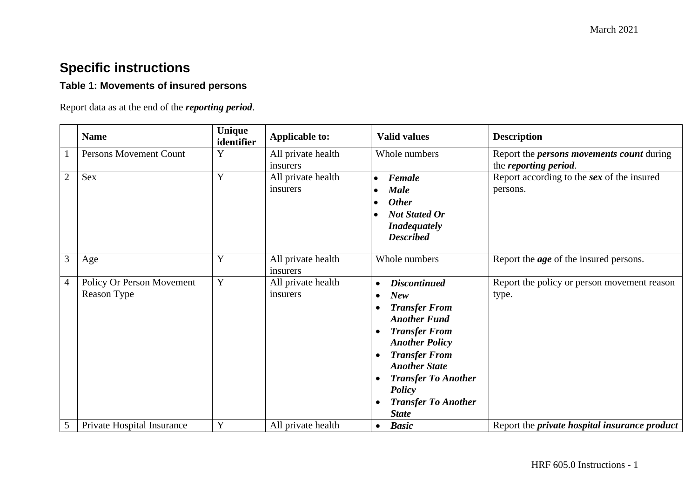## **Specific instructions**

## **Table 1: Movements of insured persons**

Report data as at the end of the *reporting period*.

|   | <b>Name</b>                   | Unique<br>identifier | <b>Applicable to:</b> | <b>Valid values</b>              | <b>Description</b>                                   |
|---|-------------------------------|----------------------|-----------------------|----------------------------------|------------------------------------------------------|
|   | <b>Persons Movement Count</b> | Y                    | All private health    | Whole numbers                    | Report the <i>persons movements count</i> during     |
|   |                               |                      | insurers              |                                  | the reporting period.                                |
| 2 | Sex                           | Y                    | All private health    | Female<br>$\bullet$              | Report according to the sex of the insured           |
|   |                               |                      | insurers              | <b>Male</b>                      | persons.                                             |
|   |                               |                      |                       | <b>Other</b>                     |                                                      |
|   |                               |                      |                       | <b>Not Stated Or</b>             |                                                      |
|   |                               |                      |                       | <b>Inadequately</b>              |                                                      |
|   |                               |                      |                       | <b>Described</b>                 |                                                      |
|   |                               |                      |                       |                                  |                                                      |
| 3 | Age                           | Y                    | All private health    | Whole numbers                    | Report the <i>age</i> of the insured persons.        |
|   |                               |                      | insurers              |                                  |                                                      |
| 4 | Policy Or Person Movement     | Y                    | All private health    | <b>Discontinued</b><br>$\bullet$ | Report the policy or person movement reason          |
|   | Reason Type                   |                      | insurers              | <b>New</b>                       | type.                                                |
|   |                               |                      |                       | <b>Transfer From</b>             |                                                      |
|   |                               |                      |                       | <b>Another Fund</b>              |                                                      |
|   |                               |                      |                       | <b>Transfer From</b><br>٠        |                                                      |
|   |                               |                      |                       | <b>Another Policy</b>            |                                                      |
|   |                               |                      |                       | <b>Transfer From</b>             |                                                      |
|   |                               |                      |                       | <b>Another State</b>             |                                                      |
|   |                               |                      |                       | <b>Transfer To Another</b>       |                                                      |
|   |                               |                      |                       | Policy                           |                                                      |
|   |                               |                      |                       | <b>Transfer To Another</b>       |                                                      |
|   |                               |                      |                       | <b>State</b>                     |                                                      |
| 5 | Private Hospital Insurance    | Y                    | All private health    | <b>Basic</b><br>$\bullet$        | Report the <i>private hospital insurance product</i> |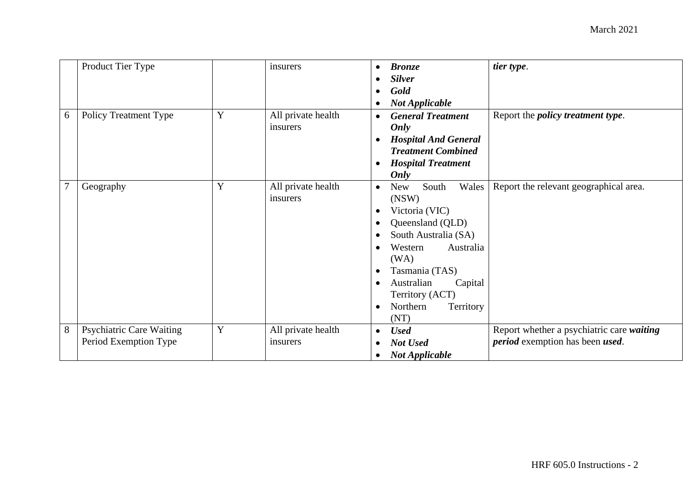|                | Product Tier Type               |   | insurers           | $\bullet$              | <b>Bronze</b><br><b>Silver</b> | tier type.                                     |
|----------------|---------------------------------|---|--------------------|------------------------|--------------------------------|------------------------------------------------|
|                |                                 |   |                    | $\bullet$<br>$\bullet$ | Gold                           |                                                |
|                |                                 |   |                    | $\bullet$              | <b>Not Applicable</b>          |                                                |
| 6              | <b>Policy Treatment Type</b>    | Y | All private health | $\bullet$              | <b>General Treatment</b>       | Report the <i>policy treatment type</i> .      |
|                |                                 |   | insurers           |                        | Only                           |                                                |
|                |                                 |   |                    | $\bullet$              | <b>Hospital And General</b>    |                                                |
|                |                                 |   |                    |                        | <b>Treatment Combined</b>      |                                                |
|                |                                 |   |                    | $\bullet$              | <b>Hospital Treatment</b>      |                                                |
|                |                                 |   |                    |                        | Only                           |                                                |
| $\overline{7}$ | Geography                       | Y | All private health | $\bullet$              | Wales<br><b>New</b><br>South   | Report the relevant geographical area.         |
|                |                                 |   | insurers           |                        | (NSW)                          |                                                |
|                |                                 |   |                    | $\bullet$              | Victoria (VIC)                 |                                                |
|                |                                 |   |                    | $\bullet$              | Queensland (QLD)               |                                                |
|                |                                 |   |                    | $\bullet$              | South Australia (SA)           |                                                |
|                |                                 |   |                    |                        | Australia<br>Western<br>(WA)   |                                                |
|                |                                 |   |                    | $\bullet$              | Tasmania (TAS)                 |                                                |
|                |                                 |   |                    | $\bullet$              | Australian<br>Capital          |                                                |
|                |                                 |   |                    |                        | Territory (ACT)                |                                                |
|                |                                 |   |                    | $\bullet$              | Northern<br>Territory          |                                                |
|                |                                 |   |                    |                        | (NT)                           |                                                |
| $8\,$          | <b>Psychiatric Care Waiting</b> | Y | All private health | $\bullet$              | <b>Used</b>                    | Report whether a psychiatric care waiting      |
|                | Period Exemption Type           |   | insurers           | $\bullet$              | Not Used                       | <i>period</i> exemption has been <i>used</i> . |
|                |                                 |   |                    | $\bullet$              | <b>Not Applicable</b>          |                                                |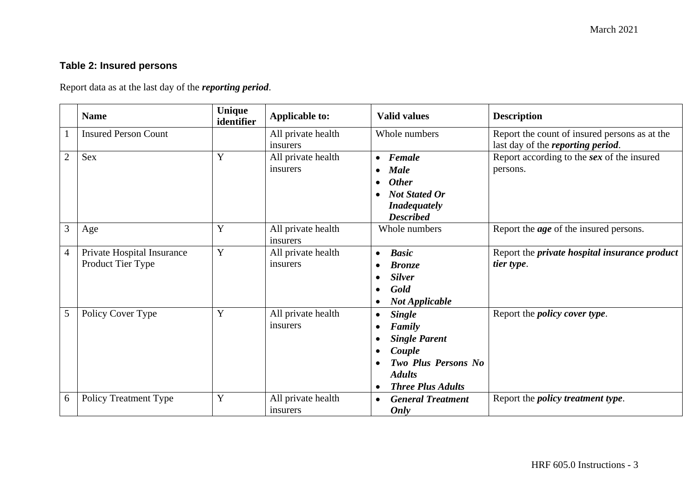## **Table 2: Insured persons**

Report data as at the last day of the *reporting period*.

|                | <b>Name</b>                                     | Unique<br>identifier | <b>Applicable to:</b>          | <b>Valid values</b>                                                                                                                                            | <b>Description</b>                                                                         |
|----------------|-------------------------------------------------|----------------------|--------------------------------|----------------------------------------------------------------------------------------------------------------------------------------------------------------|--------------------------------------------------------------------------------------------|
|                | <b>Insured Person Count</b>                     |                      | All private health<br>insurers | Whole numbers                                                                                                                                                  | Report the count of insured persons as at the<br>last day of the <i>reporting period</i> . |
| $\overline{2}$ | Sex                                             | Y                    | All private health<br>insurers | $\bullet$ Female<br><b>Male</b><br>$\bullet$<br><b>Other</b><br>$\bullet$<br><b>Not Stated Or</b><br><b>Inadequately</b><br><b>Described</b>                   | Report according to the sex of the insured<br>persons.                                     |
| 3              | Age                                             | Y                    | All private health<br>insurers | Whole numbers                                                                                                                                                  | Report the <i>age</i> of the insured persons.                                              |
| $\overline{4}$ | Private Hospital Insurance<br>Product Tier Type | Y                    | All private health<br>insurers | <b>Basic</b><br>$\bullet$<br><b>Bronze</b><br><b>Silver</b><br>Gold<br>$\bullet$<br><b>Not Applicable</b><br>$\bullet$                                         | Report the <i>private</i> hospital insurance product<br>tier type.                         |
| 5              | Policy Cover Type                               | Y                    | All private health<br>insurers | <b>Single</b><br>$\bullet$<br>Family<br><b>Single Parent</b><br>Couple<br><b>Two Plus Persons No</b><br><b>Adults</b><br><b>Three Plus Adults</b><br>$\bullet$ | Report the <i>policy cover type</i> .                                                      |
| 6              | <b>Policy Treatment Type</b>                    | Y                    | All private health<br>insurers | <b>General Treatment</b><br>$\bullet$<br>Only                                                                                                                  | Report the <i>policy treatment type</i> .                                                  |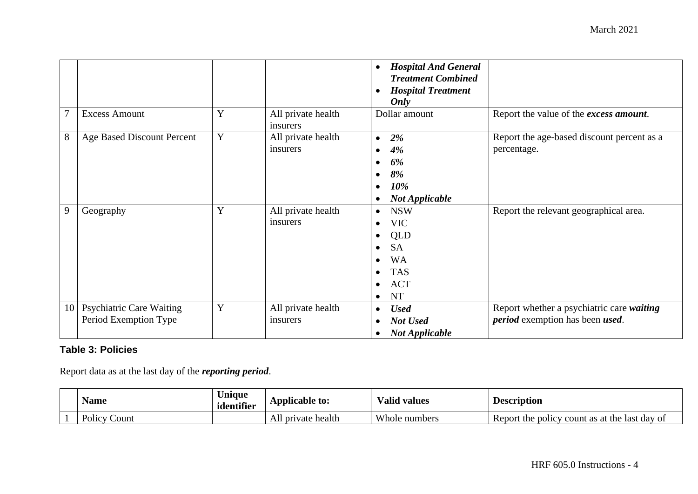|    |                                                          |   |                                | <b>Hospital And General</b><br>$\bullet$<br><b>Treatment Combined</b><br><b>Hospital Treatment</b><br>Only                                                                                    |                                                                                             |
|----|----------------------------------------------------------|---|--------------------------------|-----------------------------------------------------------------------------------------------------------------------------------------------------------------------------------------------|---------------------------------------------------------------------------------------------|
|    | <b>Excess Amount</b>                                     | Y | All private health<br>insurers | Dollar amount                                                                                                                                                                                 | Report the value of the excess amount.                                                      |
| 8  | Age Based Discount Percent                               | Y | All private health<br>insurers | 2%<br>$\bullet$<br>4%<br>$\bullet$<br>6%<br>8%<br>$\bullet$<br>10%<br>$\bullet$<br><b>Not Applicable</b><br>$\bullet$                                                                         | Report the age-based discount percent as a<br>percentage.                                   |
| 9  | Geography                                                | Y | All private health<br>insurers | <b>NSW</b><br>$\bullet$<br><b>VIC</b><br>$\bullet$<br>QLD<br>$\bullet$<br><b>SA</b><br>$\bullet$<br><b>WA</b><br><b>TAS</b><br>$\bullet$<br><b>ACT</b><br>$\bullet$<br><b>NT</b><br>$\bullet$ | Report the relevant geographical area.                                                      |
| 10 | <b>Psychiatric Care Waiting</b><br>Period Exemption Type | Y | All private health<br>insurers | <b>Used</b><br>$\bullet$<br>Not Used<br><b>Not Applicable</b><br>$\bullet$                                                                                                                    | Report whether a psychiatric care waiting<br><i>period</i> exemption has been <i>used</i> . |

## **Table 3: Policies**

Report data as at the last day of the *reporting period*.

| Name                | Jnique<br>identifier | Applicable to:     | √alid values<br>$\mathbf{r}$ | <b>Description</b>                                  |
|---------------------|----------------------|--------------------|------------------------------|-----------------------------------------------------|
| Policy $C$<br>Count |                      | All private health | Whole numbers                | Report the policy<br>or count as at the last day of |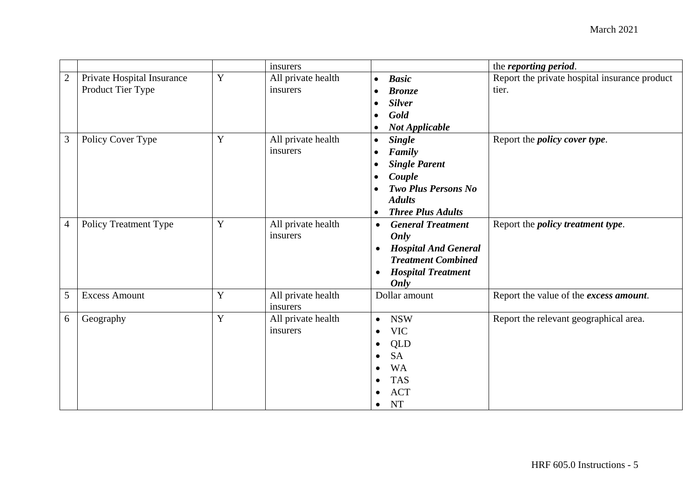|                |                                                 |   | insurers                       |                                                                                                                                                             | the reporting period.                                  |
|----------------|-------------------------------------------------|---|--------------------------------|-------------------------------------------------------------------------------------------------------------------------------------------------------------|--------------------------------------------------------|
| $\mathbf{2}$   | Private Hospital Insurance<br>Product Tier Type | Y | All private health<br>insurers | <b>Basic</b><br>$\bullet$<br><b>Bronze</b><br><b>Silver</b><br>Gold<br><b>Not Applicable</b>                                                                | Report the private hospital insurance product<br>tier. |
| 3              | Policy Cover Type                               | Y | All private health<br>insurers | <b>Single</b><br>$\bullet$<br>Family<br><b>Single Parent</b><br>Couple<br><b>Two Plus Persons No</b><br><b>Adults</b><br><b>Three Plus Adults</b>           | Report the <i>policy cover type</i> .                  |
| $\overline{4}$ | <b>Policy Treatment Type</b>                    | Y | All private health<br>insurers | <b>General Treatment</b><br>$\bullet$<br>Only<br><b>Hospital And General</b><br><b>Treatment Combined</b><br><b>Hospital Treatment</b><br>$\bullet$<br>Only | Report the <i>policy treatment type</i> .              |
| 5              | <b>Excess Amount</b>                            | Y | All private health<br>insurers | Dollar amount                                                                                                                                               | Report the value of the excess amount.                 |
| 6              | Geography                                       | Y | All private health<br>insurers | <b>NSW</b><br>$\bullet$<br><b>VIC</b><br>QLD<br><b>SA</b><br><b>WA</b><br><b>TAS</b><br><b>ACT</b><br><b>NT</b><br>$\bullet$                                | Report the relevant geographical area.                 |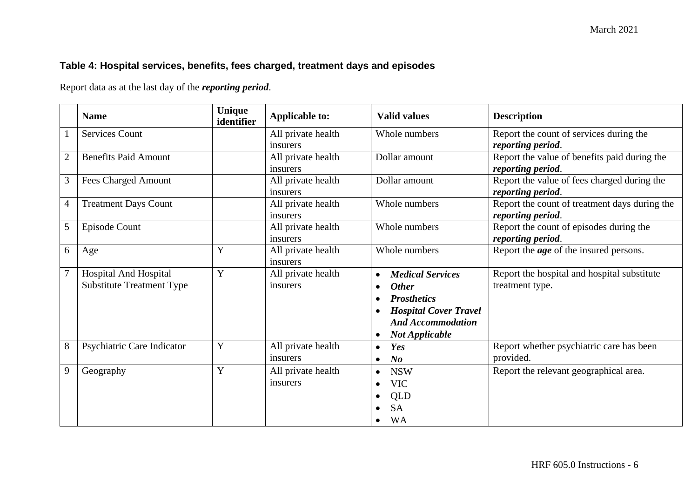## **Table 4: Hospital services, benefits, fees charged, treatment days and episodes**

Report data as at the last day of the *reporting period*.

|                | <b>Name</b>                      | Unique<br>identifier | <b>Applicable to:</b> | <b>Valid values</b>                       | <b>Description</b>                            |
|----------------|----------------------------------|----------------------|-----------------------|-------------------------------------------|-----------------------------------------------|
|                | Services Count                   |                      | All private health    | Whole numbers                             | Report the count of services during the       |
|                |                                  |                      | insurers              |                                           | reporting period.                             |
| $\overline{2}$ | <b>Benefits Paid Amount</b>      |                      | All private health    | Dollar amount                             | Report the value of benefits paid during the  |
|                |                                  |                      | insurers              |                                           | reporting period.                             |
| 3              | Fees Charged Amount              |                      | All private health    | Dollar amount                             | Report the value of fees charged during the   |
|                |                                  |                      | insurers              |                                           | reporting period.                             |
| $\overline{4}$ | <b>Treatment Days Count</b>      |                      | All private health    | Whole numbers                             | Report the count of treatment days during the |
|                |                                  |                      | insurers              |                                           | reporting period.                             |
| 5              | Episode Count                    |                      | All private health    | Whole numbers                             | Report the count of episodes during the       |
|                |                                  |                      | insurers              |                                           | reporting period.                             |
| 6              | Age                              | Y                    | All private health    | Whole numbers                             | Report the <i>age</i> of the insured persons. |
|                |                                  |                      | insurers              |                                           |                                               |
| 7              | <b>Hospital And Hospital</b>     | Y                    | All private health    | <b>Medical Services</b><br>$\bullet$      | Report the hospital and hospital substitute   |
|                | <b>Substitute Treatment Type</b> |                      | insurers              | <b>Other</b><br>$\bullet$                 | treatment type.                               |
|                |                                  |                      |                       | <b>Prosthetics</b>                        |                                               |
|                |                                  |                      |                       | <b>Hospital Cover Travel</b><br>$\bullet$ |                                               |
|                |                                  |                      |                       | <b>And Accommodation</b>                  |                                               |
|                |                                  |                      |                       | <b>Not Applicable</b><br>$\bullet$        |                                               |
| 8              | Psychiatric Care Indicator       | Y                    | All private health    | Yes<br>$\bullet$                          | Report whether psychiatric care has been      |
|                |                                  |                      | insurers              | N <sub>o</sub><br>$\bullet$               | provided.                                     |
| 9              | Geography                        | Y                    | All private health    | <b>NSW</b><br>$\bullet$                   | Report the relevant geographical area.        |
|                |                                  |                      | insurers              | <b>VIC</b><br>$\bullet$                   |                                               |
|                |                                  |                      |                       | <b>QLD</b><br>٠                           |                                               |
|                |                                  |                      |                       | <b>SA</b>                                 |                                               |
|                |                                  |                      |                       | <b>WA</b><br>$\bullet$                    |                                               |